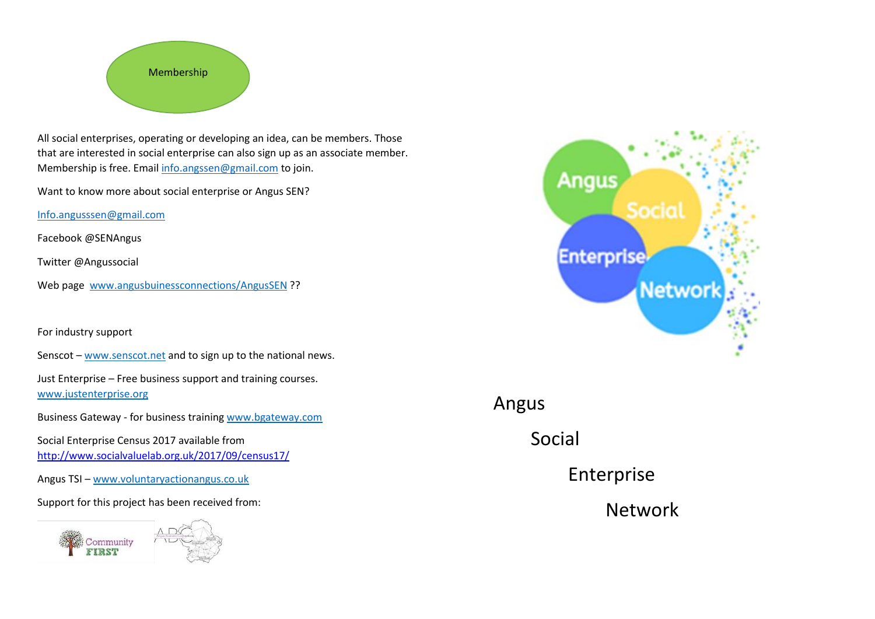

All social enterprises, operating or developing an idea, can be members. Those that are interested in social enterprise can also sign up as an associate member. Membership is free. Email [info.angssen@gmail.com](mailto:info.angssen@gmail.com) to join.

Want to know more about social enterprise or Angus SEN?

[Info.angusssen@gmail.com](mailto:Info.angusssen@gmail.com)

Facebook @SENAngus

Twitter @Angussocial

Web page [www.angusbuinessconnections/AngusSEN](http://www.angusbuinessconnections/AngusSEN) ??

For industry support

Senscot – [www.senscot.net a](http://www.senscot.net/)nd to sign up to the national news.

Just Enterprise – Free business support and training courses. [www.justenterprise.org](http://www.justenterprise.org/) 

Business Gateway - for business training [www.bgateway.com](http://www.bgateway.com/) 

Social Enterprise Census 2017 available from <http://www.socialvaluelab.org.uk/2017/09/census17/>

Angus TSI – [www.voluntaryactionangus.co.uk](http://www.voluntaryactionangus.co.uk/) 

Support for this project has been received from:





Angus

Social

Enterprise

Network